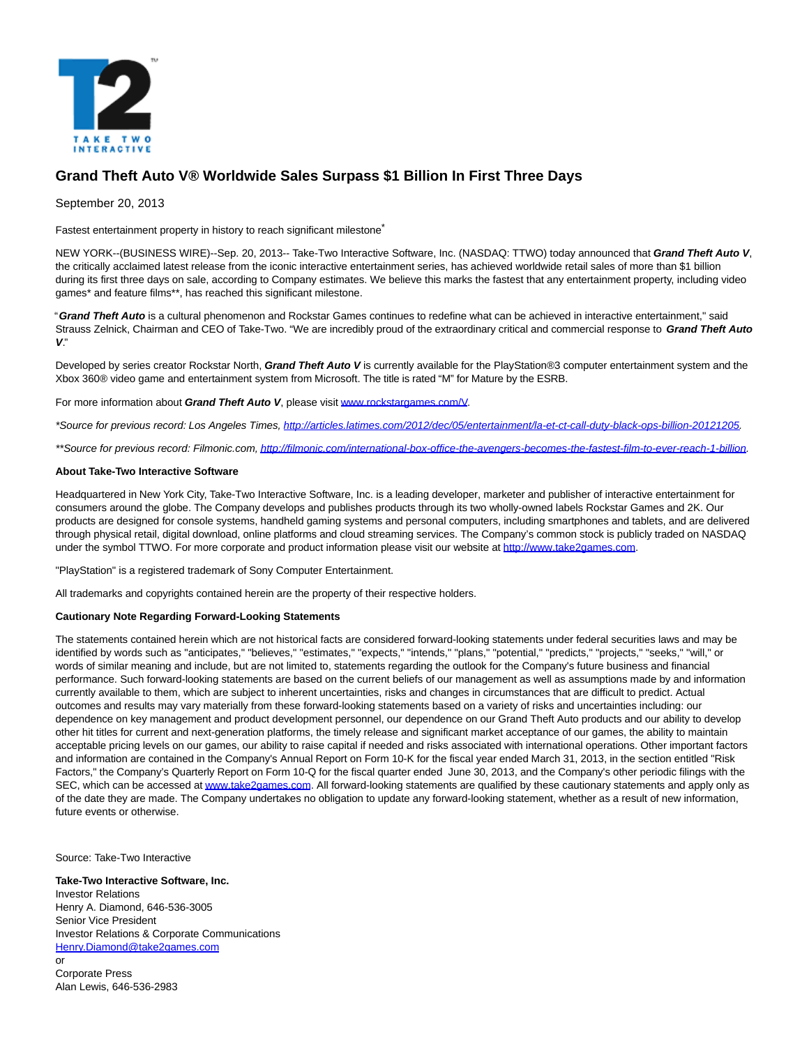

## **Grand Theft Auto V® Worldwide Sales Surpass \$1 Billion In First Three Days**

September 20, 2013

Fastest entertainment property in history to reach significant milestone<sup>\*</sup>

NEW YORK--(BUSINESS WIRE)--Sep. 20, 2013-- Take-Two Interactive Software, Inc. (NASDAQ: TTWO) today announced that **Grand Theft Auto V**, the critically acclaimed latest release from the iconic interactive entertainment series, has achieved worldwide retail sales of more than \$1 billion during its first three days on sale, according to Company estimates. We believe this marks the fastest that any entertainment property, including video games\* and feature films\*\*, has reached this significant milestone.

"**Grand Theft Auto** is a cultural phenomenon and Rockstar Games continues to redefine what can be achieved in interactive entertainment," said Strauss Zelnick, Chairman and CEO of Take-Two. "We are incredibly proud of the extraordinary critical and commercial response to **Grand Theft Auto V**."

Developed by series creator Rockstar North, **Grand Theft Auto V** is currently available for the PlayStation®3 computer entertainment system and the Xbox 360® video game and entertainment system from Microsoft. The title is rated "M" for Mature by the ESRB.

For more information about *Grand Theft Auto V*, please visi[t www.rockstargames.com/V.](http://cts.businesswire.com/ct/CT?id=smartlink&url=http%3A%2F%2Fwww.rockstargames.com%2FV&esheet=50713636&newsitemid=20130920005759&lan=en-US&anchor=www.rockstargames.com%2FV&index=1&md5=88995f124b1540564353a06909d5f356)

\*Source for previous record: Los Angeles Times, [http://articles.latimes.com/2012/dec/05/entertainment/la-et-ct-call-duty-black-ops-billion-20121205.](http://articles.latimes.com/2012/dec/05/entertainment/la-et-ct-call-duty-black-ops-billion-20121205)

\*\*Source for previous record: Filmonic.com[, http://filmonic.com/international-box-office-the-avengers-becomes-the-fastest-film-to-ever-reach-1-billion.](http://filmonic.com/international-box-office-the-avengers-becomes-the-fastest-film-to-ever-reach-1-billion)

## **About Take-Two Interactive Software**

Headquartered in New York City, Take-Two Interactive Software, Inc. is a leading developer, marketer and publisher of interactive entertainment for consumers around the globe. The Company develops and publishes products through its two wholly-owned labels Rockstar Games and 2K. Our products are designed for console systems, handheld gaming systems and personal computers, including smartphones and tablets, and are delivered through physical retail, digital download, online platforms and cloud streaming services. The Company's common stock is publicly traded on NASDAQ under the symbol TTWO. For more corporate and product information please visit our website a[t http://www.take2games.com.](http://cts.businesswire.com/ct/CT?id=smartlink&url=http%3A%2F%2Fwww.take2games.com&esheet=50713636&newsitemid=20130920005759&lan=en-US&anchor=http%3A%2F%2Fwww.take2games.com&index=4&md5=0a6b2240fe2574472ef8f132eb50e6d7)

"PlayStation" is a registered trademark of Sony Computer Entertainment.

All trademarks and copyrights contained herein are the property of their respective holders.

## **Cautionary Note Regarding Forward-Looking Statements**

The statements contained herein which are not historical facts are considered forward-looking statements under federal securities laws and may be identified by words such as "anticipates," "believes," "estimates," "expects," "intends," "plans," "potential," "predicts," "projects," "seeks," "will," or words of similar meaning and include, but are not limited to, statements regarding the outlook for the Company's future business and financial performance. Such forward-looking statements are based on the current beliefs of our management as well as assumptions made by and information currently available to them, which are subject to inherent uncertainties, risks and changes in circumstances that are difficult to predict. Actual outcomes and results may vary materially from these forward-looking statements based on a variety of risks and uncertainties including: our dependence on key management and product development personnel, our dependence on our Grand Theft Auto products and our ability to develop other hit titles for current and next-generation platforms, the timely release and significant market acceptance of our games, the ability to maintain acceptable pricing levels on our games, our ability to raise capital if needed and risks associated with international operations. Other important factors and information are contained in the Company's Annual Report on Form 10-K for the fiscal year ended March 31, 2013, in the section entitled "Risk Factors," the Company's Quarterly Report on Form 10-Q for the fiscal quarter ended June 30, 2013, and the Company's other periodic filings with the SEC, which can be accessed a[t www.take2games.com.](http://cts.businesswire.com/ct/CT?id=smartlink&url=http%3A%2F%2Fwww.take2games.com&esheet=50713636&newsitemid=20130920005759&lan=en-US&anchor=www.take2games.com&index=5&md5=654d68802ba572d652d54b6cea7eb37a) All forward-looking statements are qualified by these cautionary statements and apply only as of the date they are made. The Company undertakes no obligation to update any forward-looking statement, whether as a result of new information, future events or otherwise.

Source: Take-Two Interactive

**Take-Two Interactive Software, Inc.** Investor Relations Henry A. Diamond, 646-536-3005 Senior Vice President Investor Relations & Corporate Communications [Henry.Diamond@take2games.com](mailto:Henry.Diamond@take2games.com) or

Corporate Press Alan Lewis, 646-536-2983